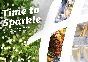# *Time to [Sparkle](https://runcorn.hichristmas.co.uk) Book your Christmas Party and Events*

*at Holiday Inn® Runcorn*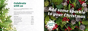Why not join us at the **Holiday Inn Runcorn** to celebrate Christmas 2022 in style?

Whether you're looking to organise a spectacular Christmas party for colleagues, a festive night out for friends or a celebratory feast with loved ones, we've got the perfect package for you.

# *Celebrate with us*



2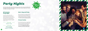## *All Inclusive Party Night*

Our all-inclusive party nights include everything you need for the perfect festive night out! Enjoy a three-course meal, disco and drinks throughout the evening. The bar will offer you plenty of choice from house wine, house spirits & mixers, draught lager/beer, selected alcopops and soft drinks all included in the price. The all-inclusive bar is available from 8pm - 12am

> **Fridays: 25th November, 2nd, 9th & 16th December** Saturdays: 3<sup>rd</sup> & 10<sup>th</sup> December

#### **£49.95 per adult**

**Saturday 21st January**

# *[Party Nights](https://runcorn.hichristmas.co.uk)*

Our festive party nights will be held in the Cheshire Suite which can accommodate up to 350 people. All-Inclusive parties start at 7.30pm, dinner served at 8.00pm, last orders at mid-night and carriages at 12.30am.



**£54.95 per adult**

## *Meet, Stay and Party*

Work, rest and play! Join us throughout November, December or January with your colleagues for a full-day meeting, your choice of celebration in the evening, overnight accommodation and breakfast the following day. Plan your end-of-year meeting today! Please enquire for availability and pricing.

# *Private Parties*

From intimate family gatherings to large corporate parties, we have functions rooms available to hire based on your requirements. Please contact us so we can help you plan your perfect celebration. Minimum numbers apply. Prices available upon request. Pre-booking only and subject to availability. Dates sell fast so enquire today!

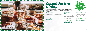# *[Casual Festive](https://runcorn.hichristmas.co.uk) Dining*

Whether you're looking to organise a spectacular Christmas dinner for colleagues, a festive lunch for friends or a celebratory feast with loved ones, we've got the perfect event for you.

### *Festive Lunch*

Our festive lunches are perfect for any occasion, whether you want to spend time with family, friends or work colleagues. Includes a glass of fizz upon arrival and a three-course festive meal.

**Available seven days a week. (subject to availability). Pre-booking essential. Call 03333 209 350 opt 4 to book.**

### *Pizza and Prosecco*

Pizza and Prosecco = Perfect! Book today so you can enjoy a pizza and a glass of Prosecco each in the relaxed atmosphere of our Open Lobby.

#### **£14.95 per person**

### *Festive Fizz Afternoon Tea*

Enjoy a festive afternoon tea, including tea & coffee and a refreshing glass of fizz! The perfect treat for anyone to enjoy. It also includes a selection of sandwiches, scones with cream & jam and a mouthwatering slice of seasonal cake.

#### **£18.00 per person**



**From £17.95 per person**

**Available every Tuesday and Thursday throughout December at 12pm, 12:30pm and 1pm. Pre-booking essential, available to book online.** 



**Fridays and Sundays throughout December at 5pm, 6pm and 6:30pm. Available to book online.**

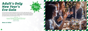# *[Adult's Only](https://runcorn.hichristmas.co.uk)  New Year's Eve Gala*

Our all-inclusive event includes everything you need to see in 2023 in style! Enjoy a four-course meal, disco until 2am and drinks throughout the evening. The all-inclusive bar will offer you plenty of choice from house wine, house spirits & mixers, draught lager/beer, selected alcopops and soft drinks all included in the price. The all-inclusive bar is available from 8pm - 12am with drinks available for you to purchase before 8pm and after midnight. 18+ only.

**£80.00 per adult**

# *Menu to follow*

*Click to book*

**Our New Year's eve party night will be in The Cheshire Suite and will start with drinks at 7:30pm, dinner served at 8:00pm, last orders at 1:30am. Carriages at 2:00am.**

**Saturday 31st December**



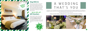# *Stay With Us*

We are excited to share with you the amazing gift vouchers we now have available at Holiday Inn Runcorn. From delightful afternoon teas to overnight break packages, there's a gift for everyone. Give the gift of travel this uear!

Why not make a night of it and enjoy our special Christmas rates? Room types include standard double, family and twin. Take advantage of up to 20% off our best flexible, bed and breakfast rate. No deposit required and can be cancelled free of charge up to 48 hours prior to arrival.

# *Gift Vouchers*  $-$  Up to 20% off  $-$



Christmas is such a wonderful time of year, why not consider having a festive wedding celebration? Our weddings are [available all year round and our fantastic wedding team will work with you to ensure you get everything you desire to](http://www.hiruncornhotel.co.uk/weddings)  make your special day a dream come true.



### Contact us to start creating a wedding that's you, or click to find out more about our weddings



# A WEDDING THAT'S YOU